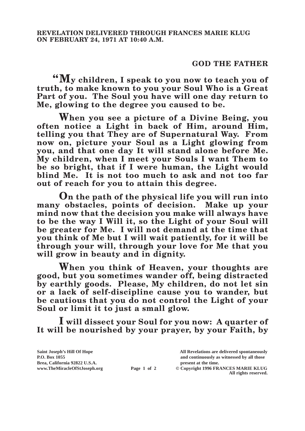## **GOD THE FATHER**

**"My children, I speak to you now to teach you of truth, to make known to you your Soul Who is a Great Part of you. The Soul you have will one day return to Me, glowing to the degree you caused to be.**

**When you see a picture of a Divine Being, you often notice a Light in back of Him, around Him, telling you that They are of Supernatural Way. From now on, picture your Soul as a Light glowing from you, and that one day It will stand alone before Me. My children, when I meet your Souls I want Them to be so bright, that if I were human, the Light would blind Me. It is not too much to ask and not too far out of reach for you to attain this degree.**

**On the path of the physical life you will run into many obstacles, points of decision. Make up your mind now that the decision you make will always have to be the way I Will it, so the Light of your Soul will be greater for Me. I will not demand at the time that you think of Me but I will wait patiently, for it will be through your will, through your love for Me that you will grow in beauty and in dignity.**

**When you think of Heaven, your thoughts are good, but you sometimes wander off, being distracted by earthly goods. Please, My children, do not let sin or a lack of self-discipline cause you to wander, but be cautious that you do not control the Light of your Soul or limit it to just a small glow.**

**I will dissect your Soul for you now: A quarter of It will be nourished by your prayer, by your Faith, by** 

**Saint Joseph's Hill Of Hope All Revelations are delivered spontaneously Brea, California 92822 U.S.A. present at the time.**<br> **present at the time.**<br> **present at the time.**<br> **Page 1 of 2** © Copyright 1996 FR.

**P.O. Box 1055 and continuously as witnessed by all those Page 1 of 2** © Copyright 1996 FRANCES MARIE KLUG

**All rights reserved.**